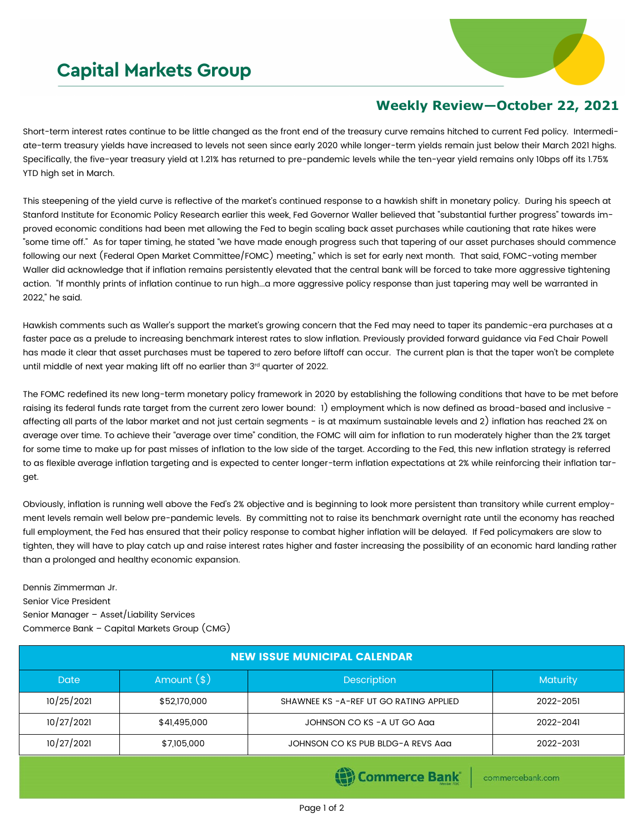## **Capital Markets Group**



## **Weekly Review—October 22, 2021**

Short-term interest rates continue to be little changed as the front end of the treasury curve remains hitched to current Fed policy. Intermediate-term treasury yields have increased to levels not seen since early 2020 while longer-term yields remain just below their March 2021 highs. Specifically, the five-year treasury yield at 1.21% has returned to pre-pandemic levels while the ten-year yield remains only 10bps off its 1.75% YTD high set in March.

This steepening of the yield curve is reflective of the market's continued response to a hawkish shift in monetary policy. During his speech at Stanford Institute for Economic Policy Research earlier this week, Fed Governor Waller believed that "substantial further progress" towards improved economic conditions had been met allowing the Fed to begin scaling back asset purchases while cautioning that rate hikes were "some time off." As for taper timing, he stated "we have made enough progress such that tapering of our asset purchases should commence following our next (Federal Open Market Committee/FOMC) meeting," which is set for early next month. That said, FOMC-voting member Waller did acknowledge that if inflation remains persistently elevated that the central bank will be forced to take more aggressive tightening action. "If monthly prints of inflation continue to run high...a more aggressive policy response than just tapering may well be warranted in 2022," he said.

Hawkish comments such as Waller's support the market's growing concern that the Fed may need to taper its pandemic-era purchases at a faster pace as a prelude to increasing benchmark interest rates to slow inflation. Previously provided forward guidance via Fed Chair Powell has made it clear that asset purchases must be tapered to zero before liftoff can occur. The current plan is that the taper won't be complete until middle of next year making lift off no earlier than 3rd quarter of 2022.

The FOMC redefined its new long-term monetary policy framework in 2020 by establishing the following conditions that have to be met before raising its federal funds rate target from the current zero lower bound: 1) employment which is now defined as broad-based and inclusive affecting all parts of the labor market and not just certain segments - is at maximum sustainable levels and 2) inflation has reached 2% on average over time. To achieve their "average over time" condition, the FOMC will aim for inflation to run moderately higher than the 2% target for some time to make up for past misses of inflation to the low side of the target. According to the Fed, this new inflation strategy is referred to as flexible average inflation targeting and is expected to center longer-term inflation expectations at 2% while reinforcing their inflation target.

Obviously, inflation is running well above the Fed's 2% objective and is beginning to look more persistent than transitory while current employment levels remain well below pre-pandemic levels. By committing not to raise its benchmark overnight rate until the economy has reached full employment, the Fed has ensured that their policy response to combat higher inflation will be delayed. If Fed policymakers are slow to tighten, they will have to play catch up and raise interest rates higher and faster increasing the possibility of an economic hard landing rather than a prolonged and healthy economic expansion.

Dennis Zimmerman Jr. Senior Vice President Senior Manager – Asset/Liability Services Commerce Bank – Capital Markets Group (CMG)

| <b>NEW ISSUE MUNICIPAL CALENDAR</b> |                                         |                 |  |  |  |  |  |
|-------------------------------------|-----------------------------------------|-----------------|--|--|--|--|--|
| Amount $(*)$                        | <b>Description</b>                      | <b>Maturity</b> |  |  |  |  |  |
| \$52,170,000                        | SHAWNEE KS - A-REF UT GO RATING APPLIED | 2022-2051       |  |  |  |  |  |
| \$41,495,000                        | JOHNSON CO KS - A UT GO Agg             | 2022-2041       |  |  |  |  |  |
| \$7,105,000                         | JOHNSON CO KS PUB BLDG-A REVS Aga       | 2022-2031       |  |  |  |  |  |
|                                     |                                         |                 |  |  |  |  |  |

(e) Commerce Bank

commercebank.com